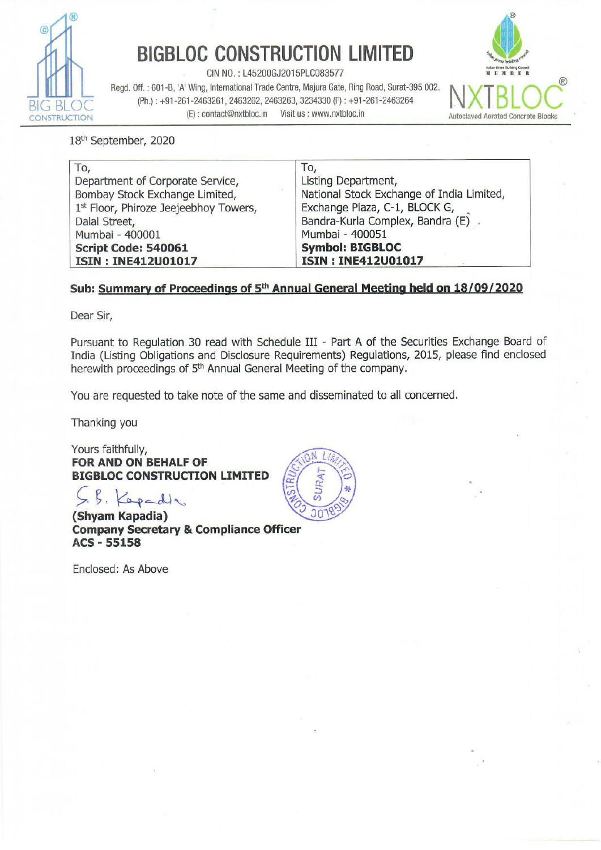

# **BIGBLOC CONSTRUCTION LIMITED**

CIN NO.: L45200GJ2015PLC083577

Regd. Off. : 601-B. 'A' Wing, International Trade Centre, Majura Gate, Ring Road, Surat-395 002. **N. INTERLACE**  $\overline{G}$  BLOC (Ph.): +91-261-2463261, 2463262, 2463263, 3234330 (F): +91-261-2463264 CONSTRUCTION (E): contact@nxtbloc.in Visit us : www.nxtbloc.in Autoclaved Aerated Concrete Blocks **BIGBLOC CONSTRUC**<br>
Regd. Off. : 601-B, 'A' Wing, International Trade Centre<br>
(Ph.) : +91-261-2463261, 2463262, 2463263,<br>
(E) : contact@nxtbloc.in Visit u<br>
18<sup>th</sup> September, 2020



#### 18<sup>th</sup> September, 2020

| To,                                   | To,                                       |
|---------------------------------------|-------------------------------------------|
| Department of Corporate Service,      | Listing Department,                       |
| Bombay Stock Exchange Limited,        | National Stock Exchange of India Limited, |
| 1st Floor, Phiroze Jeejeebhoy Towers, | Exchange Plaza, C-1, BLOCK G,             |
| Dalal Street,                         | Bandra-Kurla Complex, Bandra (E).         |
| Mumbai - 400001                       | Mumbai - 400051                           |
| Script Code: 540061                   | <b>Symbol: BIGBLOC</b>                    |
| ISIN: INE412U01017                    | <b>ISIN: INE412U01017</b>                 |

### Sub: Summary of Proceedings of 5<sup>th</sup> Annual General Meeting held on 18/09/2020

Dear Sir,

Pursuant to Regulation. 30 read with Schedule III - Part A of the Securities Exchange Board of India (Listing Obligations and Disclosure Requirements) Regulations, 2015, please find enclosed herewith proceedings of 5<sup>th</sup> Annual General Meeting of the company.

You are requested to take note of the same and disseminated to all concerned.

Thanking you

Yours faithfully, FOR AND ON BEHALF OF BIGBLOC CONSTRUCTION LIMITED

Kepades

(Shyam Kapadia) Company Secretary & Compliance Officer ACS - 55158

Enclosed: As Above

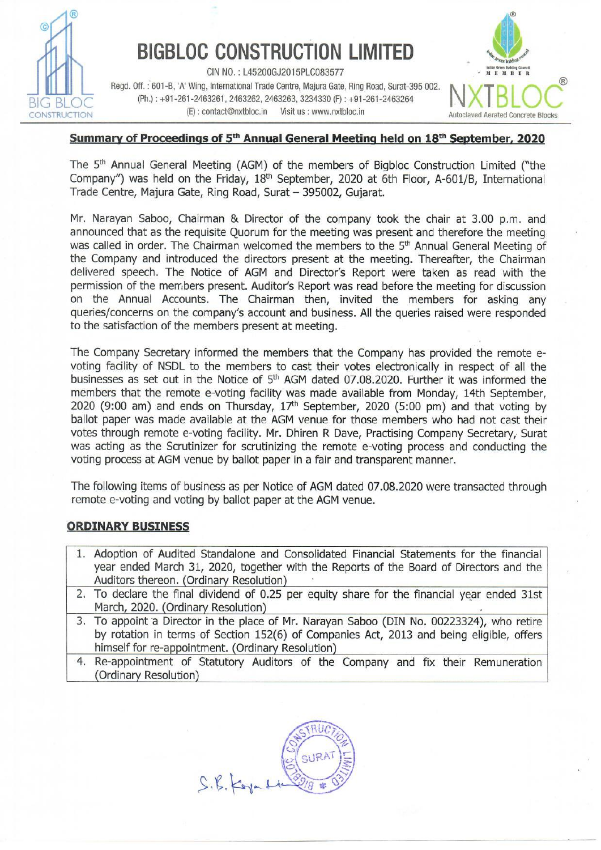

# **BIGBLOC CONSTRUCTION LIMITED**

CIN NO.: L45200GJ2015PLC083577 Regd. Off. : 601-B, 'A' Wing, International Trade Centre, Majura Gate, Ring Road, Surat-395 002. **N. INTERNATION** (Ph.): +91-261-2463261, 2463262, 2463263, 3234330 (F): +91-261-2463264 (©): contact@nxtbloc.in —\_Visit us : www.nxtbloc.in



### Summary of Proceedings of 5<sup>th</sup> Annual General Meeting held on 18<sup>th</sup> September, 2020

The 5<sup>th</sup> Annual General Meeting (AGM) of the members of Bigbloc Construction Limited ("the Company") was held on the Friday, 18" September, 2020 at 6th Floor, A-601/B, International Trade Centre, Majura Gate, Ring Road, Surat — 395002, Gujarat.

Mr. Narayan Saboo, Chairman & Director of the company took the chair at 3.00 p.m. and announced that as the requisite Quorum for the meeting was present and therefore the meeting was called in order. The Chairman welcomed the members to the 5<sup>th</sup> Annual General Meeting of the Company and introduced the directors present at the meeting. Thereafter, the Chairman delivered speech. The Notice of AGM and Director's Report were taken as read with the permission of the members present. Auditor's Report was read before the meeting for discussion on the Annual Accounts. The Chairman then, invited the members for asking any queries/concerns on the company's account and business. All the queries raised were responded to the satisfaction of the members present at meeting.

businesses as set out in the Notice of 5<sup>th</sup> AGM<br>members that the remote e-voting facility was<br>2020 (9:00 am) and ends on Thursday, 17<sup>th</sup> spallot paper was made available at the AGM ve<br>votes through remote e-voting facil The Company Secretary informed the members that the Company has provided the remote evoting facility of NSDL to the members to cast their votes electronically in respect of all the businesses as set out in the Notice of 5<sup>th</sup> AGM dated 07.08.2020. Further it was informed the members that the remote e-voting facility was made available from Monday, 14th September, 2020 (9:00 am) and ends on Thursday,  $17<sup>th</sup>$  September, 2020 (5:00 pm) and that voting by ballot paper was made available at the AGM venue for those members who had not cast their votes through remote e-voting facility. Mr. Dhiren R Dave, Practising Company Secretary, Surat was acting as the Scrutinizer for scrutinizing the remote e-voting process and conducting the voting process at AGM venue by ballot paper in a fair and transparent manner. Regal off. 3601-8, 'A' Win (1.145200532019)<br>
Regal off. 3601-8, 'A' Wing, International Trade Cente, (Ph.): +91-261-2463261, 2463262, 2463262, 2463263, 37<br>
(E): contact@mxtbioc.in Visit us<br> **Summary of Proceedings of 5th** CrioN (e): conacted Nation That Summary of Proceedings of 5<sup>th</sup> Annual General Meeting (AGM) of the Company") was held on the Friday, 18<sup>th</sup> Septer Trade Centre, Majura Gate, Ring Road, Surat – 3<br>Mr. Narayan Saboo, Chairm **Summary or Proceedings or S<sup>on</sup> Annual General Meeting (AGM) of the Company") was held on the Friday, 18<sup>th</sup> Septer Trade Centre, Majura Gate, Ring Road, Surat – 3<br>Mr. Narayan Saboo, Chairman & Director of the manumenced** Comparing ) was near on the Friday, 18<sup>o</sup> September Trade Centre, Majura Gate, Ring Road, Surat – 3<br>
Mr. Narayan Saboo, Chairman & Director of the announced that as the requisite Quorum for the was called in order. The Ch Mr. Narayan Saboo, Chairman & Director of the monduced that as the requisite Quorum for the was called in order. The Chairman welomed the the Company and introduced the directors predivered speech. The Notice of AGM and D

The following items of business as per Notice of AGM dated 07.08.2020 were transacted through remote e-voting and voting by ballot paper at the AGM venue.

### ORDINARY BUSINESS

- 1. Adoption of Audited Standalone and Consolidated Financial Statements for the financial year ended March 31, 2020, together with the Reports of the Board of Directors and the Auditors thereon. (Ordinary Resolution)
- 2. To declare the final dividend of 0.25 per equity share for the financial year ended 31st March, 2020. (Ordinary Resolution)
- 3. To appoint a Director in the place of Mr. Narayan Saboo (DIN No. 00223324), who retire by rotation in terms of Section 152(6) of Companies Act, 2013 and being eligible, offers himself for re-appointment. (Ordinary Resolution)
- 4. Re-appointment of Statutory Auditors of the Company and fix their Remuneration (Ordinary Resolution)